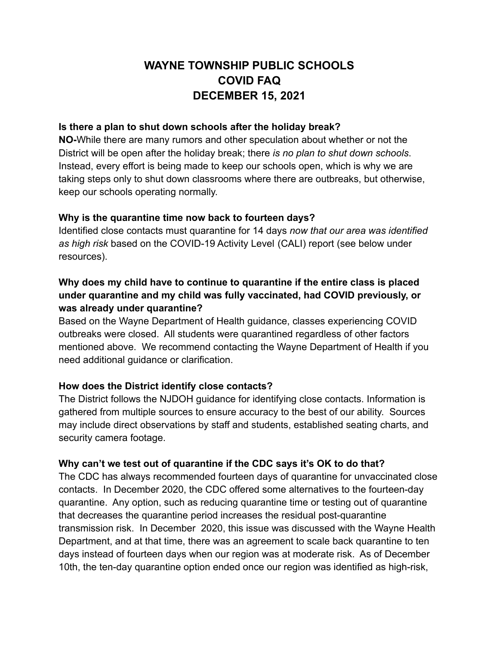# **WAYNE TOWNSHIP PUBLIC SCHOOLS COVID FAQ DECEMBER 15, 2021**

#### **Is there a plan to shut down schools after the holiday break?**

**NO-**While there are many rumors and other speculation about whether or not the District will be open after the holiday break; there *is no plan to shut down schools*. Instead, every effort is being made to keep our schools open, which is why we are taking steps only to shut down classrooms where there are outbreaks, but otherwise, keep our schools operating normally.

### **Why is the quarantine time now back to fourteen days?**

Identified close contacts must quarantine for 14 days *now that our area was identified as high risk* based on the COVID-19 Activity Level (CALI) report (see below under resources).

# **Why does my child have to continue to quarantine if the entire class is placed under quarantine and my child was fully vaccinated, had COVID previously, or was already under quarantine?**

Based on the Wayne Department of Health guidance, classes experiencing COVID outbreaks were closed. All students were quarantined regardless of other factors mentioned above. We recommend contacting the Wayne Department of Health if you need additional guidance or clarification.

## **How does the District identify close contacts?**

The District follows the NJDOH guidance for identifying close contacts. Information is gathered from multiple sources to ensure accuracy to the best of our ability. Sources may include direct observations by staff and students, established seating charts, and security camera footage.

## **Why can't we test out of quarantine if the CDC says it's OK to do that?**

The CDC has always recommended fourteen days of quarantine for unvaccinated close contacts. In December 2020, the CDC offered some alternatives to the fourteen-day quarantine. Any option, such as reducing quarantine time or testing out of quarantine that decreases the quarantine period increases the residual post-quarantine transmission risk. In December 2020, this issue was discussed with the Wayne Health Department, and at that time, there was an agreement to scale back quarantine to ten days instead of fourteen days when our region was at moderate risk. As of December 10th, the ten-day quarantine option ended once our region was identified as high-risk,